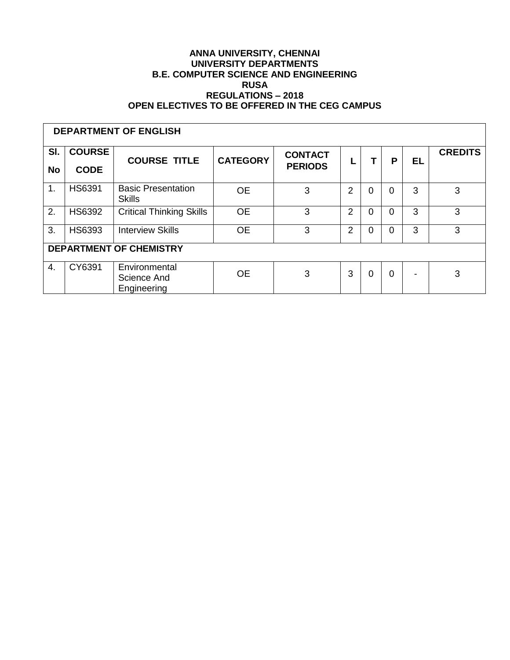#### **ANNA UNIVERSITY, CHENNAI UNIVERSITY DEPARTMENTS B.E. COMPUTER SCIENCE AND ENGINEERING RUSA REGULATIONS – 2018 OPEN ELECTIVES TO BE OFFERED IN THE CEG CAMPUS**

| <b>DEPARTMENT OF ENGLISH</b>   |                              |                                             |                 |                                  |                |          |          |    |                |
|--------------------------------|------------------------------|---------------------------------------------|-----------------|----------------------------------|----------------|----------|----------|----|----------------|
| SI.<br><b>No</b>               | <b>COURSE</b><br><b>CODE</b> | <b>COURSE TITLE</b>                         | <b>CATEGORY</b> | <b>CONTACT</b><br><b>PERIODS</b> |                |          | P        | EL | <b>CREDITS</b> |
| 1.                             | <b>HS6391</b>                | <b>Basic Presentation</b><br><b>Skills</b>  | <b>OE</b>       | 3                                | 2              | $\Omega$ | $\Omega$ | 3  | 3              |
| 2.                             | <b>HS6392</b>                | <b>Critical Thinking Skills</b>             | <b>OE</b>       | 3                                | 2              | $\Omega$ | 0        | 3  | 3              |
| 3.                             | HS6393                       | <b>Interview Skills</b>                     | <b>OE</b>       | 3                                | $\overline{2}$ | $\Omega$ | $\Omega$ | 3  | 3              |
| <b>DEPARTMENT OF CHEMISTRY</b> |                              |                                             |                 |                                  |                |          |          |    |                |
| 4.                             | CY6391                       | Environmental<br>Science And<br>Engineering | <b>OE</b>       | 3                                | 3              | $\Omega$ | $\Omega$ |    | 3              |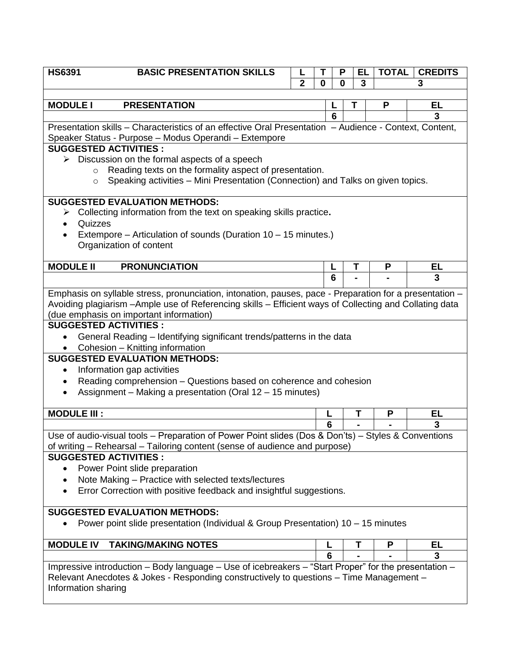| <b>HS6391</b>                                                                                          | <b>BASIC PRESENTATION SKILLS</b>                                                                                                   |                | т        |        | P        | EL | <b>TOTAL</b> | <b>CREDITS</b> |  |  |
|--------------------------------------------------------------------------------------------------------|------------------------------------------------------------------------------------------------------------------------------------|----------------|----------|--------|----------|----|--------------|----------------|--|--|
|                                                                                                        |                                                                                                                                    | $\overline{2}$ | $\bf{0}$ |        | $\bf{0}$ | 3  |              | 3              |  |  |
|                                                                                                        |                                                                                                                                    |                |          |        |          |    |              |                |  |  |
| <b>MODULE I</b>                                                                                        | <b>PRESENTATION</b>                                                                                                                |                |          |        |          | Τ  | P            | EL             |  |  |
|                                                                                                        |                                                                                                                                    |                |          | 6      |          |    |              | 3              |  |  |
| Presentation skills – Characteristics of an effective Oral Presentation – Audience - Context, Content, |                                                                                                                                    |                |          |        |          |    |              |                |  |  |
| Speaker Status - Purpose - Modus Operandi - Extempore                                                  |                                                                                                                                    |                |          |        |          |    |              |                |  |  |
| <b>SUGGESTED ACTIVITIES:</b>                                                                           |                                                                                                                                    |                |          |        |          |    |              |                |  |  |
|                                                                                                        | $\triangleright$ Discussion on the formal aspects of a speech<br>Reading texts on the formality aspect of presentation.<br>$\circ$ |                |          |        |          |    |              |                |  |  |
|                                                                                                        | Speaking activities - Mini Presentation (Connection) and Talks on given topics.<br>$\circ$                                         |                |          |        |          |    |              |                |  |  |
|                                                                                                        |                                                                                                                                    |                |          |        |          |    |              |                |  |  |
|                                                                                                        | <b>SUGGESTED EVALUATION METHODS:</b>                                                                                               |                |          |        |          |    |              |                |  |  |
|                                                                                                        | Collecting information from the text on speaking skills practice.                                                                  |                |          |        |          |    |              |                |  |  |
|                                                                                                        | Quizzes                                                                                                                            |                |          |        |          |    |              |                |  |  |
|                                                                                                        | Extempore – Articulation of sounds (Duration 10 – 15 minutes.)                                                                     |                |          |        |          |    |              |                |  |  |
|                                                                                                        | Organization of content                                                                                                            |                |          |        |          |    |              |                |  |  |
|                                                                                                        |                                                                                                                                    |                |          |        |          |    |              |                |  |  |
| <b>MODULE II</b>                                                                                       | <b>PRONUNCIATION</b>                                                                                                               |                |          | L<br>հ |          | Τ  | P            | EL<br>3        |  |  |
|                                                                                                        |                                                                                                                                    |                |          |        |          |    |              |                |  |  |
|                                                                                                        | Emphasis on syllable stress, pronunciation, intonation, pauses, pace - Preparation for a presentation -                            |                |          |        |          |    |              |                |  |  |
|                                                                                                        | Avoiding plagiarism - Ample use of Referencing skills - Efficient ways of Collecting and Collating data                            |                |          |        |          |    |              |                |  |  |
|                                                                                                        | (due emphasis on important information)                                                                                            |                |          |        |          |    |              |                |  |  |
|                                                                                                        | <b>SUGGESTED ACTIVITIES:</b>                                                                                                       |                |          |        |          |    |              |                |  |  |
|                                                                                                        | General Reading - Identifying significant trends/patterns in the data                                                              |                |          |        |          |    |              |                |  |  |
|                                                                                                        | Cohesion - Knitting information                                                                                                    |                |          |        |          |    |              |                |  |  |
|                                                                                                        | <b>SUGGESTED EVALUATION METHODS:</b>                                                                                               |                |          |        |          |    |              |                |  |  |
| $\bullet$                                                                                              | Information gap activities                                                                                                         |                |          |        |          |    |              |                |  |  |
|                                                                                                        | Reading comprehension - Questions based on coherence and cohesion<br>Assignment - Making a presentation (Oral 12 - 15 minutes)     |                |          |        |          |    |              |                |  |  |
|                                                                                                        |                                                                                                                                    |                |          |        |          |    |              |                |  |  |
|                                                                                                        | <b>MODULE III:</b>                                                                                                                 |                |          | L      |          | Τ  | P            | EL             |  |  |
|                                                                                                        |                                                                                                                                    |                |          | 6      |          |    |              | 3              |  |  |
|                                                                                                        | Use of audio-visual tools - Preparation of Power Point slides (Dos & Don'ts) - Styles & Conventions                                |                |          |        |          |    |              |                |  |  |
|                                                                                                        | of writing - Rehearsal - Tailoring content (sense of audience and purpose)                                                         |                |          |        |          |    |              |                |  |  |
|                                                                                                        | <b>SUGGESTED ACTIVITIES:</b>                                                                                                       |                |          |        |          |    |              |                |  |  |
|                                                                                                        | Power Point slide preparation                                                                                                      |                |          |        |          |    |              |                |  |  |
|                                                                                                        | Note Making - Practice with selected texts/lectures                                                                                |                |          |        |          |    |              |                |  |  |
|                                                                                                        | Error Correction with positive feedback and insightful suggestions.                                                                |                |          |        |          |    |              |                |  |  |
|                                                                                                        |                                                                                                                                    |                |          |        |          |    |              |                |  |  |
|                                                                                                        | <b>SUGGESTED EVALUATION METHODS:</b>                                                                                               |                |          |        |          |    |              |                |  |  |
|                                                                                                        | Power point slide presentation (Individual & Group Presentation) 10 – 15 minutes                                                   |                |          |        |          |    |              |                |  |  |
|                                                                                                        |                                                                                                                                    |                |          |        |          |    |              |                |  |  |
|                                                                                                        | <b>MODULE IV</b><br><b>TAKING/MAKING NOTES</b>                                                                                     |                |          |        |          | Τ  | P            | EL             |  |  |
|                                                                                                        |                                                                                                                                    |                |          | 6      |          |    |              | 3              |  |  |
|                                                                                                        | Impressive introduction - Body language - Use of icebreakers - "Start Proper" for the presentation -                               |                |          |        |          |    |              |                |  |  |
|                                                                                                        | Relevant Anecdotes & Jokes - Responding constructively to questions - Time Management -                                            |                |          |        |          |    |              |                |  |  |
|                                                                                                        | Information sharing                                                                                                                |                |          |        |          |    |              |                |  |  |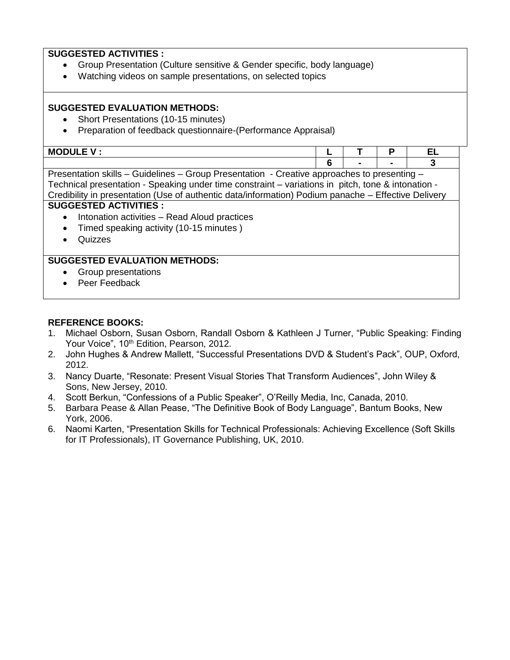## **SUGGESTED ACTIVITIES :**

- Group Presentation (Culture sensitive & Gender specific, body language)
- Watching videos on sample presentations, on selected topics

# **SUGGESTED EVALUATION METHODS:**

- Short Presentations (10-15 minutes)
- Preparation of feedback questionnaire-(Performance Appraisal)

| $\mathbf{H} \wedge \mathbf{H}$<br>MJ<br>◡▃▃<br>. . |  | -- |
|----------------------------------------------------|--|----|
|                                                    |  |    |

Presentation skills – Guidelines – Group Presentation - Creative approaches to presenting – Technical presentation - Speaking under time constraint – variations in pitch, tone & intonation - Credibility in presentation (Use of authentic data/information) Podium panache – Effective Delivery

# **SUGGESTED ACTIVITIES :**

- Intonation activities Read Aloud practices
- Timed speaking activity (10-15 minutes)
- Quizzes

## **SUGGESTED EVALUATION METHODS:**

- Group presentations
- Peer Feedback

## **REFERENCE BOOKS:**

- 1. Michael Osborn, Susan Osborn, Randall Osborn & Kathleen J Turner, "Public Speaking: Finding Your Voice", 10<sup>th</sup> Edition, Pearson, 2012.
- 2. John Hughes & Andrew Mallett, "Successful Presentations DVD & Student's Pack", OUP, Oxford, 2012.
- 3. Nancy Duarte, "Resonate: Present Visual Stories That Transform Audiences", John Wiley & Sons, New Jersey, 2010.
- 4. Scott Berkun, "Confessions of a Public Speaker", O'Reilly Media, Inc, Canada, 2010.
- 5. Barbara Pease & Allan Pease, "The Definitive Book of Body Language", Bantum Books, New York, 2006.
- 6. Naomi Karten, "Presentation Skills for Technical Professionals: Achieving Excellence (Soft Skills for IT Professionals), IT Governance Publishing, UK, 2010.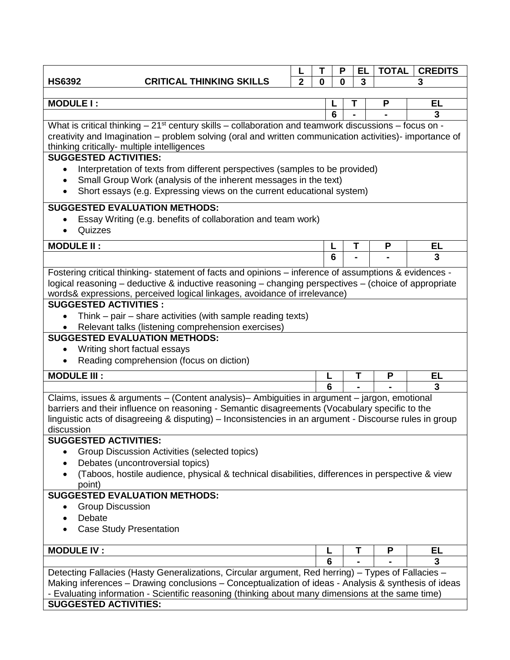|                                                                                                                                                                                                                                   |                                                                                                                                                         |                | Т | P        | EL | <b>TOTAL</b> | <b>CREDITS</b> |  |  |
|-----------------------------------------------------------------------------------------------------------------------------------------------------------------------------------------------------------------------------------|---------------------------------------------------------------------------------------------------------------------------------------------------------|----------------|---|----------|----|--------------|----------------|--|--|
| <b>HS6392</b>                                                                                                                                                                                                                     | <b>CRITICAL THINKING SKILLS</b>                                                                                                                         | $\overline{2}$ | 0 | $\bf{0}$ | 3  |              | 3              |  |  |
| <b>MODULE I:</b><br><b>EL</b><br>P                                                                                                                                                                                                |                                                                                                                                                         |                |   |          |    |              |                |  |  |
|                                                                                                                                                                                                                                   |                                                                                                                                                         |                |   | 6        |    |              | 3              |  |  |
|                                                                                                                                                                                                                                   |                                                                                                                                                         |                |   |          |    |              |                |  |  |
| What is critical thinking $-21$ <sup>st</sup> century skills $-$ collaboration and teamwork discussions $-$ focus on -<br>creativity and Imagination - problem solving (oral and written communication activities)- importance of |                                                                                                                                                         |                |   |          |    |              |                |  |  |
| thinking critically- multiple intelligences                                                                                                                                                                                       |                                                                                                                                                         |                |   |          |    |              |                |  |  |
| <b>SUGGESTED ACTIVITIES:</b>                                                                                                                                                                                                      |                                                                                                                                                         |                |   |          |    |              |                |  |  |
| Interpretation of texts from different perspectives (samples to be provided)                                                                                                                                                      |                                                                                                                                                         |                |   |          |    |              |                |  |  |
|                                                                                                                                                                                                                                   | Small Group Work (analysis of the inherent messages in the text)<br>$\bullet$<br>Short essays (e.g. Expressing views on the current educational system) |                |   |          |    |              |                |  |  |
|                                                                                                                                                                                                                                   |                                                                                                                                                         |                |   |          |    |              |                |  |  |
| <b>SUGGESTED EVALUATION METHODS:</b>                                                                                                                                                                                              |                                                                                                                                                         |                |   |          |    |              |                |  |  |
|                                                                                                                                                                                                                                   | Essay Writing (e.g. benefits of collaboration and team work)                                                                                            |                |   |          |    |              |                |  |  |
| Quizzes                                                                                                                                                                                                                           |                                                                                                                                                         |                |   |          |    |              |                |  |  |
| <b>MODULE II:</b>                                                                                                                                                                                                                 |                                                                                                                                                         |                |   |          | Т  | P            | EL             |  |  |
|                                                                                                                                                                                                                                   |                                                                                                                                                         |                |   | 6        |    |              | 3              |  |  |
|                                                                                                                                                                                                                                   | Fostering critical thinking- statement of facts and opinions - inference of assumptions & evidences -                                                   |                |   |          |    |              |                |  |  |
|                                                                                                                                                                                                                                   | logical reasoning - deductive & inductive reasoning - changing perspectives - (choice of appropriate                                                    |                |   |          |    |              |                |  |  |
|                                                                                                                                                                                                                                   | words& expressions, perceived logical linkages, avoidance of irrelevance)                                                                               |                |   |          |    |              |                |  |  |
| <b>SUGGESTED ACTIVITIES:</b>                                                                                                                                                                                                      |                                                                                                                                                         |                |   |          |    |              |                |  |  |
| $\bullet$                                                                                                                                                                                                                         | Think $-$ pair $-$ share activities (with sample reading texts)<br>Relevant talks (listening comprehension exercises)                                   |                |   |          |    |              |                |  |  |
| <b>SUGGESTED EVALUATION METHODS:</b>                                                                                                                                                                                              |                                                                                                                                                         |                |   |          |    |              |                |  |  |
| Writing short factual essays                                                                                                                                                                                                      |                                                                                                                                                         |                |   |          |    |              |                |  |  |
|                                                                                                                                                                                                                                   | Reading comprehension (focus on diction)                                                                                                                |                |   |          |    |              |                |  |  |
| <b>MODULE III:</b>                                                                                                                                                                                                                |                                                                                                                                                         |                |   |          | T  | P            | <b>EL</b>      |  |  |
|                                                                                                                                                                                                                                   |                                                                                                                                                         |                | 6 |          |    |              | 3              |  |  |
|                                                                                                                                                                                                                                   | Claims, issues & arguments - (Content analysis)- Ambiguities in argument - jargon, emotional                                                            |                |   |          |    |              |                |  |  |
|                                                                                                                                                                                                                                   | barriers and their influence on reasoning - Semantic disagreements (Vocabulary specific to the                                                          |                |   |          |    |              |                |  |  |
|                                                                                                                                                                                                                                   | linguistic acts of disagreeing & disputing) – Inconsistencies in an argument - Discourse rules in group                                                 |                |   |          |    |              |                |  |  |
| discussion<br><b>SUGGESTED ACTIVITIES:</b>                                                                                                                                                                                        |                                                                                                                                                         |                |   |          |    |              |                |  |  |
|                                                                                                                                                                                                                                   | Group Discussion Activities (selected topics)                                                                                                           |                |   |          |    |              |                |  |  |
|                                                                                                                                                                                                                                   | Debates (uncontroversial topics)                                                                                                                        |                |   |          |    |              |                |  |  |
| $\bullet$                                                                                                                                                                                                                         | (Taboos, hostile audience, physical & technical disabilities, differences in perspective & view                                                         |                |   |          |    |              |                |  |  |
| point)                                                                                                                                                                                                                            |                                                                                                                                                         |                |   |          |    |              |                |  |  |
| <b>SUGGESTED EVALUATION METHODS:</b>                                                                                                                                                                                              |                                                                                                                                                         |                |   |          |    |              |                |  |  |
| <b>Group Discussion</b>                                                                                                                                                                                                           |                                                                                                                                                         |                |   |          |    |              |                |  |  |
|                                                                                                                                                                                                                                   | Debate                                                                                                                                                  |                |   |          |    |              |                |  |  |
| <b>Case Study Presentation</b>                                                                                                                                                                                                    |                                                                                                                                                         |                |   |          |    |              |                |  |  |
| <b>MODULE IV:</b>                                                                                                                                                                                                                 |                                                                                                                                                         |                | L |          | Τ  | P            | EL             |  |  |
|                                                                                                                                                                                                                                   |                                                                                                                                                         |                | 6 |          |    |              | 3              |  |  |
|                                                                                                                                                                                                                                   | Detecting Fallacies (Hasty Generalizations, Circular argument, Red herring) - Types of Fallacies -                                                      |                |   |          |    |              |                |  |  |
|                                                                                                                                                                                                                                   | Making inferences - Drawing conclusions - Conceptualization of ideas - Analysis & synthesis of ideas                                                    |                |   |          |    |              |                |  |  |
|                                                                                                                                                                                                                                   | - Evaluating information - Scientific reasoning (thinking about many dimensions at the same time)                                                       |                |   |          |    |              |                |  |  |
| <b>SUGGESTED ACTIVITIES:</b>                                                                                                                                                                                                      |                                                                                                                                                         |                |   |          |    |              |                |  |  |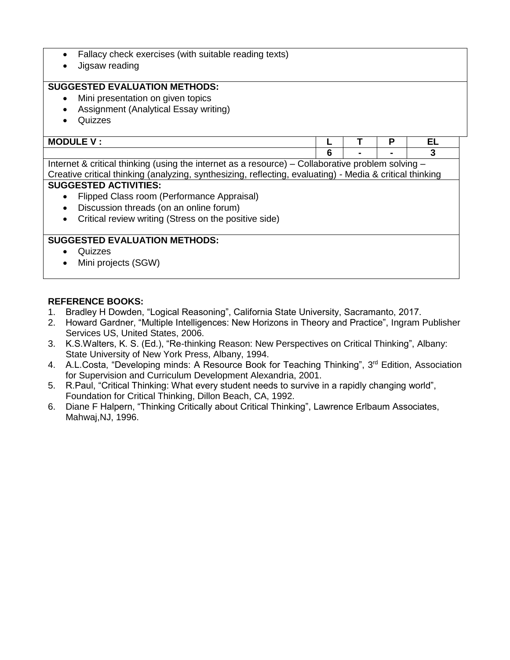- Fallacy check exercises (with suitable reading texts)
- Jigsaw reading

# **SUGGESTED EVALUATION METHODS:**

- Mini presentation on given topics
- Assignment (Analytical Essay writing)
- Quizzes

| <b>MODULE V</b><br>. . |  |              | -- |
|------------------------|--|--------------|----|
|                        |  | <b>STATE</b> |    |

Internet & critical thinking (using the internet as a resource) – Collaborative problem solving – Creative critical thinking (analyzing, synthesizing, reflecting, evaluating) - Media & critical thinking

#### **SUGGESTED ACTIVITIES:**

- Flipped Class room (Performance Appraisal)
- Discussion threads (on an online forum)
- Critical review writing (Stress on the positive side)

## **SUGGESTED EVALUATION METHODS:**

- Quizzes
- Mini projects (SGW)

## **REFERENCE BOOKS:**

- 1. Bradley H Dowden, "Logical Reasoning", California State University, Sacramanto, 2017.
- 2. Howard Gardner, "Multiple Intelligences: New Horizons in Theory and Practice", Ingram Publisher Services US, United States, 2006.
- 3. K.S.Walters, K. S. (Ed.), "Re-thinking Reason: New Perspectives on Critical Thinking", Albany: State University of New York Press, Albany, 1994.
- 4. A.L.Costa, "Developing minds: A Resource Book for Teaching Thinking", 3<sup>rd</sup> Edition, Association for Supervision and Curriculum Development Alexandria, 2001.
- 5. R.Paul, "Critical Thinking: What every student needs to survive in a rapidly changing world", Foundation for Critical Thinking, Dillon Beach, CA, 1992.
- 6. Diane F Halpern, "Thinking Critically about Critical Thinking", Lawrence Erlbaum Associates, Mahwaj,NJ, 1996.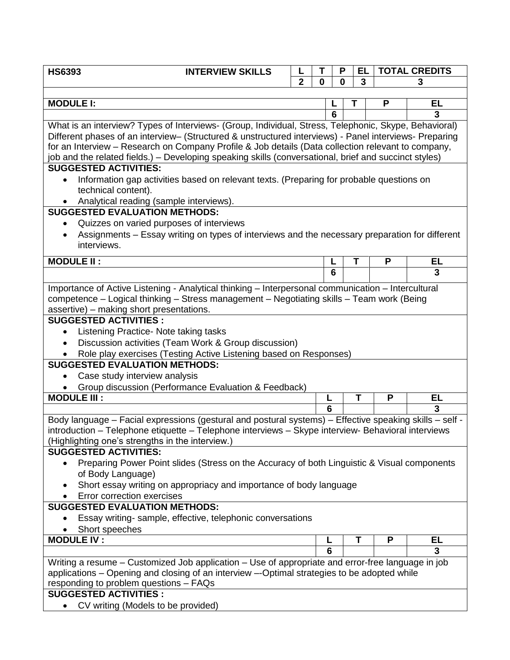| <b>HS6393</b>                                                                                                            | <b>INTERVIEW SKILLS</b>                                                                                 |                | Т | P | EL |   | <b>TOTAL CREDITS</b> |  |  |
|--------------------------------------------------------------------------------------------------------------------------|---------------------------------------------------------------------------------------------------------|----------------|---|---|----|---|----------------------|--|--|
|                                                                                                                          |                                                                                                         | $\overline{2}$ | 0 | 0 | 3  |   | 3                    |  |  |
|                                                                                                                          |                                                                                                         |                |   |   |    |   |                      |  |  |
| <b>MODULE I:</b>                                                                                                         |                                                                                                         |                |   |   |    | P | EL                   |  |  |
|                                                                                                                          |                                                                                                         |                |   | 6 |    |   | 3                    |  |  |
|                                                                                                                          | What is an interview? Types of Interviews- (Group, Individual, Stress, Telephonic, Skype, Behavioral)   |                |   |   |    |   |                      |  |  |
|                                                                                                                          | Different phases of an interview- (Structured & unstructured interviews) - Panel interviews- Preparing  |                |   |   |    |   |                      |  |  |
| for an Interview - Research on Company Profile & Job details (Data collection relevant to company,                       |                                                                                                         |                |   |   |    |   |                      |  |  |
|                                                                                                                          | job and the related fields.) – Developing speaking skills (conversational, brief and succinct styles)   |                |   |   |    |   |                      |  |  |
| <b>SUGGESTED ACTIVITIES:</b><br>Information gap activities based on relevant texts. (Preparing for probable questions on |                                                                                                         |                |   |   |    |   |                      |  |  |
|                                                                                                                          | technical content).                                                                                     |                |   |   |    |   |                      |  |  |
|                                                                                                                          | Analytical reading (sample interviews).                                                                 |                |   |   |    |   |                      |  |  |
|                                                                                                                          | <b>SUGGESTED EVALUATION METHODS:</b>                                                                    |                |   |   |    |   |                      |  |  |
|                                                                                                                          | Quizzes on varied purposes of interviews                                                                |                |   |   |    |   |                      |  |  |
|                                                                                                                          | Assignments – Essay writing on types of interviews and the necessary preparation for different          |                |   |   |    |   |                      |  |  |
|                                                                                                                          | interviews.                                                                                             |                |   |   |    |   |                      |  |  |
| <b>MODULE II:</b>                                                                                                        |                                                                                                         |                |   |   | т  | P | <b>EL</b>            |  |  |
|                                                                                                                          |                                                                                                         |                |   | 6 |    |   | 3                    |  |  |
|                                                                                                                          | Importance of Active Listening - Analytical thinking – Interpersonal communication – Intercultural      |                |   |   |    |   |                      |  |  |
|                                                                                                                          | competence - Logical thinking - Stress management - Negotiating skills - Team work (Being               |                |   |   |    |   |                      |  |  |
|                                                                                                                          | assertive) - making short presentations.                                                                |                |   |   |    |   |                      |  |  |
|                                                                                                                          | <b>SUGGESTED ACTIVITIES:</b>                                                                            |                |   |   |    |   |                      |  |  |
| $\bullet$                                                                                                                | Listening Practice- Note taking tasks                                                                   |                |   |   |    |   |                      |  |  |
|                                                                                                                          | Discussion activities (Team Work & Group discussion)                                                    |                |   |   |    |   |                      |  |  |
|                                                                                                                          | Role play exercises (Testing Active Listening based on Responses)                                       |                |   |   |    |   |                      |  |  |
|                                                                                                                          | <b>SUGGESTED EVALUATION METHODS:</b>                                                                    |                |   |   |    |   |                      |  |  |
|                                                                                                                          | Case study interview analysis                                                                           |                |   |   |    |   |                      |  |  |
|                                                                                                                          | Group discussion (Performance Evaluation & Feedback)                                                    |                |   |   |    |   |                      |  |  |
| <b>MODULE III:</b>                                                                                                       |                                                                                                         |                |   |   | T  | P | <b>EL</b>            |  |  |
|                                                                                                                          |                                                                                                         |                | 6 |   |    |   | 3                    |  |  |
|                                                                                                                          | Body language - Facial expressions (gestural and postural systems) - Effective speaking skills - self - |                |   |   |    |   |                      |  |  |
|                                                                                                                          | introduction – Telephone etiquette – Telephone interviews – Skype interview- Behavioral interviews      |                |   |   |    |   |                      |  |  |
|                                                                                                                          | (Highlighting one's strengths in the interview.)                                                        |                |   |   |    |   |                      |  |  |
|                                                                                                                          | <b>SUGGESTED ACTIVITIES:</b>                                                                            |                |   |   |    |   |                      |  |  |
|                                                                                                                          | Preparing Power Point slides (Stress on the Accuracy of both Linguistic & Visual components             |                |   |   |    |   |                      |  |  |
|                                                                                                                          | of Body Language)                                                                                       |                |   |   |    |   |                      |  |  |
|                                                                                                                          | Short essay writing on appropriacy and importance of body language                                      |                |   |   |    |   |                      |  |  |
|                                                                                                                          | Error correction exercises                                                                              |                |   |   |    |   |                      |  |  |
|                                                                                                                          | <b>SUGGESTED EVALUATION METHODS:</b>                                                                    |                |   |   |    |   |                      |  |  |
|                                                                                                                          | Essay writing- sample, effective, telephonic conversations                                              |                |   |   |    |   |                      |  |  |
|                                                                                                                          | Short speeches                                                                                          |                |   |   |    |   |                      |  |  |
| <b>MODULE IV:</b>                                                                                                        |                                                                                                         |                | L |   | Т  | P | EL                   |  |  |
|                                                                                                                          |                                                                                                         |                | 6 |   |    |   | 3                    |  |  |
|                                                                                                                          | Writing a resume - Customized Job application - Use of appropriate and error-free language in job       |                |   |   |    |   |                      |  |  |
|                                                                                                                          | applications – Opening and closing of an interview –-Optimal strategies to be adopted while             |                |   |   |    |   |                      |  |  |
|                                                                                                                          | responding to problem questions - FAQs<br><b>SUGGESTED ACTIVITIES:</b>                                  |                |   |   |    |   |                      |  |  |
|                                                                                                                          | CV writing (Models to be provided)                                                                      |                |   |   |    |   |                      |  |  |
|                                                                                                                          |                                                                                                         |                |   |   |    |   |                      |  |  |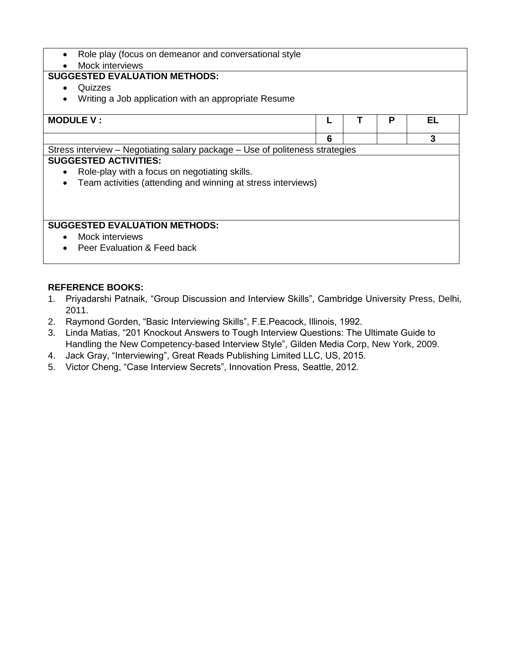- Role play (focus on demeanor and conversational style
- Mock interviews

# **SUGGESTED EVALUATION METHODS:**

- Quizzes
- Writing a Job application with an appropriate Resume

| <b>MODULE V:</b>                                                             |   | P | FΙ |
|------------------------------------------------------------------------------|---|---|----|
|                                                                              |   |   |    |
|                                                                              | 6 |   | 3  |
| Stress interview – Negotiating salary package – Use of politeness strategies |   |   |    |
| <b>SUGGESTED ACTIVITIES:</b>                                                 |   |   |    |
| Role-play with a focus on negotiating skills.<br>$\bullet$                   |   |   |    |
| Team activities (attending and winning at stress interviews)<br>$\bullet$    |   |   |    |
|                                                                              |   |   |    |
|                                                                              |   |   |    |
|                                                                              |   |   |    |
| <b>SUGGESTED EVALUATION METHODS:</b>                                         |   |   |    |
| Mock interviews<br>$\bullet$                                                 |   |   |    |
|                                                                              |   |   |    |
| Peer Evaluation & Feed back<br>$\bullet$                                     |   |   |    |
|                                                                              |   |   |    |

## **REFERENCE BOOKS:**

- 1. Priyadarshi Patnaik, "Group Discussion and Interview Skills", Cambridge University Press, Delhi, 2011.
- 2. Raymond Gorden, "Basic Interviewing Skills", F.E.Peacock, Illinois, 1992.
- 3. Linda Matias, "201 Knockout Answers to Tough Interview Questions: The Ultimate Guide to Handling the New Competency-based Interview Style", Gilden Media Corp, New York, 2009.
- 4. Jack Gray, "Interviewing", Great Reads Publishing Limited LLC, US, 2015.
- 5. Victor Cheng, "Case Interview Secrets", Innovation Press, Seattle, 2012.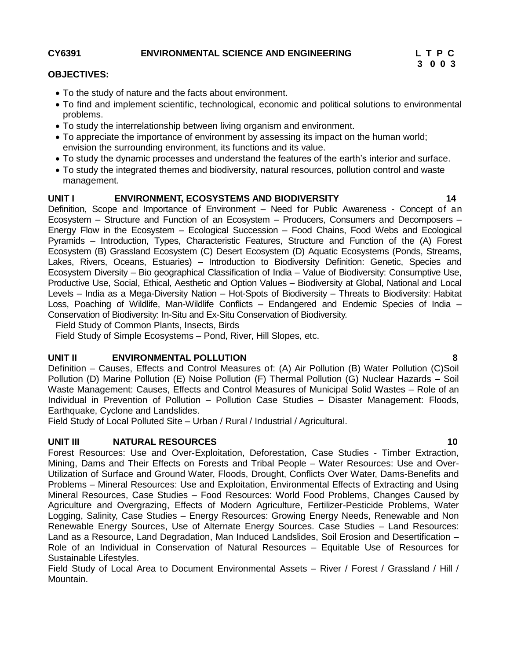### **CY6391 ENVIRONMENTAL SCIENCE AND ENGINEERING L T P C**

#### **OBJECTIVES:**

- To the study of nature and the facts about environment.
- To find and implement scientific, technological, economic and political solutions to environmental problems.
- To study the interrelationship between living organism and environment.
- To appreciate the importance of environment by assessing its impact on the human world; envision the surrounding environment, its functions and its value.
- To study the dynamic processes and understand the features of the earth's interior and surface.
- To study the integrated themes and biodiversity, natural resources, pollution control and waste management.

## **UNIT I ENVIRONMENT, ECOSYSTEMS AND BIODIVERSITY 14**

Definition, Scope and Importance of Environment – Need for Public Awareness - Concept of an Ecosystem – Structure and Function of an Ecosystem – Producers, Consumers and Decomposers – Energy Flow in the Ecosystem – Ecological Succession – Food Chains, Food Webs and Ecological Pyramids – Introduction, Types, Characteristic Features, Structure and Function of the (A) Forest Ecosystem (B) Grassland Ecosystem (C) Desert Ecosystem (D) Aquatic Ecosystems (Ponds, Streams, Lakes, Rivers, Oceans, Estuaries) – Introduction to Biodiversity Definition: Genetic, Species and Ecosystem Diversity – Bio geographical Classification of India – Value of Biodiversity: Consumptive Use, Productive Use, Social, Ethical, Aesthetic and Option Values – Biodiversity at Global, National and Local Levels – India as a Mega-Diversity Nation – Hot-Spots of Biodiversity – Threats to Biodiversity: Habitat Loss, Poaching of Wildlife, Man-Wildlife Conflicts – Endangered and Endemic Species of India – Conservation of Biodiversity: In-Situ and Ex-Situ Conservation of Biodiversity.

Field Study of Common Plants, Insects, Birds

Field Study of Simple Ecosystems – Pond, River, Hill Slopes, etc.

## **UNIT II ENVIRONMENTAL POLLUTION 8**

Definition – Causes, Effects and Control Measures of: (A) Air Pollution (B) Water Pollution (C)Soil Pollution (D) Marine Pollution (E) Noise Pollution (F) Thermal Pollution (G) Nuclear Hazards – Soil Waste Management: Causes, Effects and Control Measures of Municipal Solid Wastes – Role of an Individual in Prevention of Pollution – Pollution Case Studies – Disaster Management: Floods, Earthquake, Cyclone and Landslides.

Field Study of Local Polluted Site – Urban / Rural / Industrial / Agricultural.

## **UNIT III NATURAL RESOURCES 10**

Forest Resources: Use and Over-Exploitation, Deforestation, Case Studies - Timber Extraction, Mining, Dams and Their Effects on Forests and Tribal People – Water Resources: Use and Over-Utilization of Surface and Ground Water, Floods, Drought, Conflicts Over Water, Dams-Benefits and Problems – Mineral Resources: Use and Exploitation, Environmental Effects of Extracting and Using Mineral Resources, Case Studies – Food Resources: World Food Problems, Changes Caused by Agriculture and Overgrazing, Effects of Modern Agriculture, Fertilizer-Pesticide Problems, Water Logging, Salinity, Case Studies – Energy Resources: Growing Energy Needs, Renewable and Non Renewable Energy Sources, Use of Alternate Energy Sources. Case Studies – Land Resources: Land as a Resource, Land Degradation, Man Induced Landslides, Soil Erosion and Desertification – Role of an Individual in Conservation of Natural Resources – Equitable Use of Resources for Sustainable Lifestyles.

Field Study of Local Area to Document Environmental Assets – River / Forest / Grassland / Hill / Mountain.